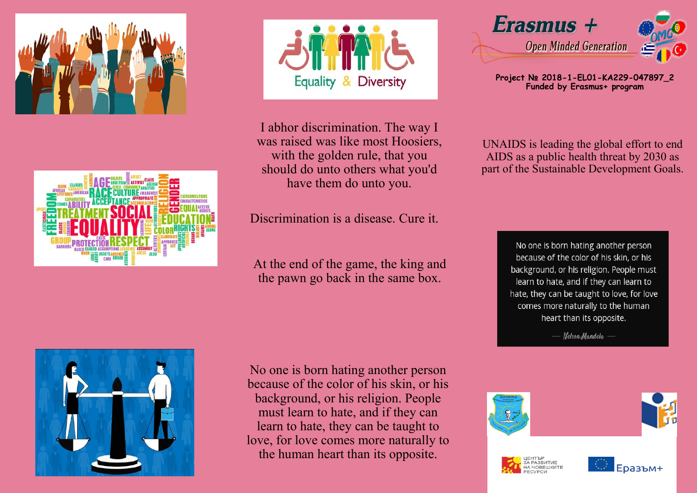





I abhor discrimination. The way I was raised was like most Hoosiers, with the golden rule, that you should do unto others what you'd have them do unto you.

Discrimination is a disease. Cure it.

At the end of the game, the king and the pawn go back in the same box.

Erasmus + **Open Minded Generation** 

**Project № 2018-1-EL01-KA229-047897\_2 Funded by Erasmus+ program**

UNAIDS is leading the global effort to end AIDS as a public health threat by 2030 as part of the Sustainable Development Goals.

> No one is born hating another person because of the color of his skin, or his background, or his religion. People must learn to hate, and if they can learn to hate, they can be taught to love, for love comes more naturally to the human heart than its opposite.

> > Nelson Mandela -



No one is born hating another person because of the color of his skin, or his background, or his religion. People must learn to hate, and if they can learn to hate, they can be taught to love, for love comes more naturally to the human heart than its opposite.